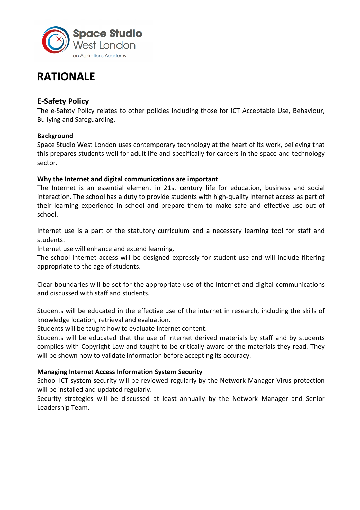

# **RATIONALE**

# **E-Safety Policy**

The e-Safety Policy relates to other policies including those for ICT Acceptable Use, Behaviour, Bullying and Safeguarding.

# **Background**

Space Studio West London uses contemporary technology at the heart of its work, believing that this prepares students well for adult life and specifically for careers in the space and technology sector.

# **Why the Internet and digital communications are important**

The Internet is an essential element in 21st century life for education, business and social interaction. The school has a duty to provide students with high-quality Internet access as part of their learning experience in school and prepare them to make safe and effective use out of school.

Internet use is a part of the statutory curriculum and a necessary learning tool for staff and students.

Internet use will enhance and extend learning.

The school Internet access will be designed expressly for student use and will include filtering appropriate to the age of students.

Clear boundaries will be set for the appropriate use of the Internet and digital communications and discussed with staff and students.

Students will be educated in the effective use of the internet in research, including the skills of knowledge location, retrieval and evaluation.

Students will be taught how to evaluate Internet content.

Students will be educated that the use of Internet derived materials by staff and by students complies with Copyright Law and taught to be critically aware of the materials they read. They will be shown how to validate information before accepting its accuracy.

# **Managing Internet Access Information System Security**

School ICT system security will be reviewed regularly by the Network Manager Virus protection will be installed and updated regularly.

Security strategies will be discussed at least annually by the Network Manager and Senior Leadership Team.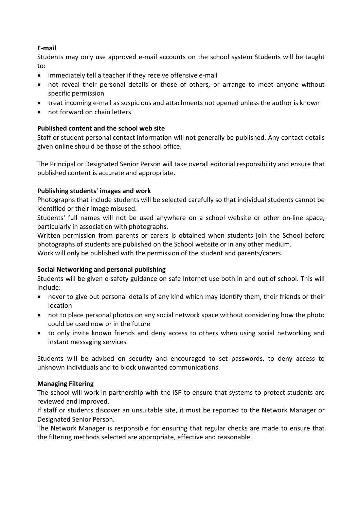# **E-mail**

Students may only use approved e-mail accounts on the school system Students will be taught to:

- immediately tell a teacher if they receive offensive e-mail
- not reveal their personal details or those of others, or arrange to meet anyone without specific permission
- treat incoming e-mail as suspicious and attachments not opened unless the author is known
- not forward on chain letters

# **Published content and the school web site**

Staff or student personal contact information will not generally be published. Any contact details given online should be those of the school office.

The Principal or Designated Senior Person will take overall editorial responsibility and ensure that published content is accurate and appropriate.

# **Publishing students' images and work**

Photographs that include students will be selected carefully so that individual students cannot be identified or their image misused.

Students' full names will not be used anywhere on a school website or other on-line space, particularly in association with photographs.

Written permission from parents or carers is obtained when students join the School before photographs of students are published on the School website or in any other medium.

Work will only be published with the permission of the student and parents/carers.

# **Social Networking and personal publishing**

Students will be given e-safety guidance on safe Internet use both in and out of school. This will include:

- never to give out personal details of any kind which may identify them, their friends or their location
- not to place personal photos on any social network space without considering how the photo could be used now or in the future
- to only invite known friends and deny access to others when using social networking and instant messaging services

Students will be advised on security and encouraged to set passwords, to deny access to unknown individuals and to block unwanted communications.

# **Managing Filtering**

The school will work in partnership with the ISP to ensure that systems to protect students are reviewed and improved.

If staff or students discover an unsuitable site, it must be reported to the Network Manager or Designated Senior Person.

The Network Manager is responsible for ensuring that regular checks are made to ensure that the filtering methods selected are appropriate, effective and reasonable.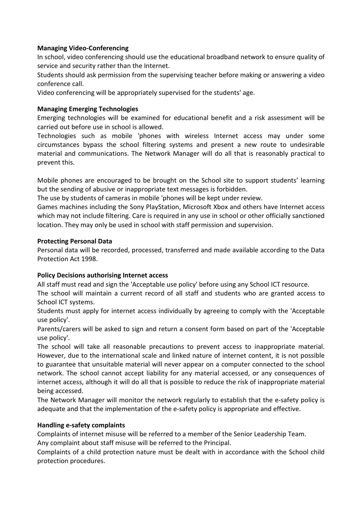# **Managing Video-Conferencing**

In school, video conferencing should use the educational broadband network to ensure quality of service and security rather than the Internet.

Students should ask permission from the supervising teacher before making or answering a video conference call.

Video conferencing will be appropriately supervised for the students' age.

#### **Managing Emerging Technologies**

Emerging technologies will be examined for educational benefit and a risk assessment will be carried out before use in school is allowed.

Technologies such as mobile 'phones with wireless Internet access may under some circumstances bypass the school filtering systems and present a new route to undesirable material and communications. The Network Manager will do all that is reasonably practical to prevent this.

Mobile phones are encouraged to be brought on the School site to support students' learning but the sending of abusive or inappropriate text messages is forbidden.

The use by students of cameras in mobile 'phones will be kept under review.

Games machines including the Sony PlayStation, Microsoft Xbox and others have Internet access which may not include filtering. Care is required in any use in school or other officially sanctioned location. They may only be used in school with staff permission and supervision.

#### **Protecting Personal Data**

Personal data will be recorded, processed, transferred and made available according to the Data Protection Act 1998.

# **Policy Decisions authorising Internet access**

All staff must read and sign the 'Acceptable use policy' before using any School ICT resource.

The school will maintain a current record of all staff and students who are granted access to School ICT systems.

Students must apply for internet access individually by agreeing to comply with the 'Acceptable use policy'.

Parents/carers will be asked to sign and return a consent form based on part of the 'Acceptable use policy'.

The school will take all reasonable precautions to prevent access to inappropriate material. However, due to the international scale and linked nature of internet content, it is not possible to guarantee that unsuitable material will never appear on a computer connected to the school network. The school cannot accept liability for any material accessed, or any consequences of internet access, although it will do all that is possible to reduce the risk of inappropriate material being accessed.

The Network Manager will monitor the network regularly to establish that the e-safety policy is adequate and that the implementation of the e-safety policy is appropriate and effective.

#### **Handling e-safety complaints**

Complaints of internet misuse will be referred to a member of the Senior Leadership Team. Any complaint about staff misuse will be referred to the Principal.

Complaints of a child protection nature must be dealt with in accordance with the School child protection procedures.